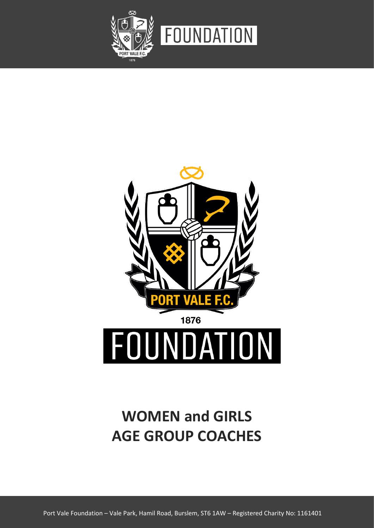



# **WOMEN and GIRLS AGE GROUP COACHES**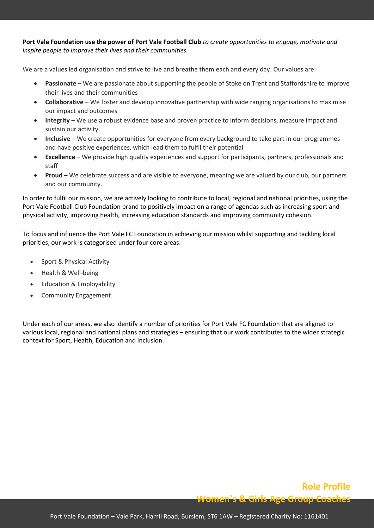**Port Vale Foundation use the power of Port Vale Football Club** *to create opportunities to engage, motivate and inspire people to improve their lives and their communities.* 

We are a values led organisation and strive to live and breathe them each and every day. Our values are:

- **Passionate** We are passionate about supporting the people of Stoke on Trent and Staffordshire to improve their lives and their communities
- **Collaborative** We foster and develop innovative partnership with wide ranging organisations to maximise our impact and outcomes
- **Integrity**  We use a robust evidence base and proven practice to inform decisions, measure impact and sustain our activity
- **Inclusive** We create opportunities for everyone from every background to take part in our programmes and have positive experiences, which lead them to fulfil their potential
- **Excellence** We provide high quality experiences and support for participants, partners, professionals and staff
- **Proud** We celebrate success and are visible to everyone, meaning we are valued by our club, our partners and our community.

In order to fulfil our mission, we are actively looking to contribute to local, regional and national priorities, using the Port Vale Football Club Foundation brand to positively impact on a range of agendas such as increasing sport and physical activity, improving health, increasing education standards and improving community cohesion.

To focus and influence the Port Vale FC Foundation in achieving our mission whilst supporting and tackling local priorities, our work is categorised under four core areas:

- Sport & Physical Activity
- Health & Well-being
- Education & Employability
- Community Engagement

Under each of our areas, we also identify a number of priorities for Port Vale FC Foundation that are aligned to various local, regional and national plans and strategies – ensuring that our work contributes to the wider strategic context for Sport, Health, Education and Inclusion.

# **Role Profile Women`s & Girls Age Group Coaches**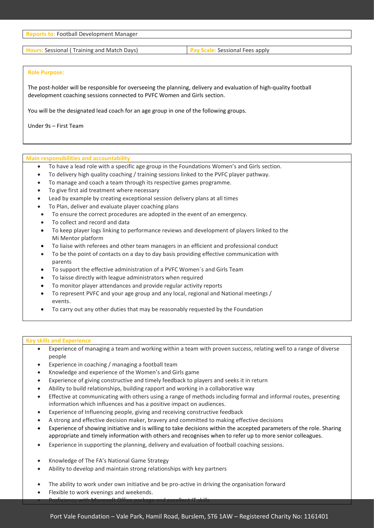**Reports to:** Football Development Manager

**Hours:** Sessional ( Training and Match Days) **Pay Scale:** Sessional Fees apply

#### **Role Purpose:**

The post-holder will be responsible for overseeing the planning, delivery and evaluation of high-quality football development coaching sessions connected to PVFC Women and Girls section.

You will be the designated lead coach for an age group in one of the following groups.

Under 9s – First Team

#### **Main responsibilities and accountability**

- To have a lead role with a specific age group in the Foundations Women's and Girls section.
- To delivery high quality coaching / training sessions linked to the PVFC player pathway.
- To manage and coach a team through its respective games programme.
- To give first aid treatment where necessary
- Lead by example by creating exceptional session delivery plans at all times
- To Plan, deliver and evaluate player coaching plans
- To ensure the correct procedures are adopted in the event of an emergency.
- To collect and record and data
- To keep player logs linking to performance reviews and development of players linked to the Mi Mentor platform
- To liaise with referees and other team managers in an efficient and professional conduct
- To be the point of contacts on a day to day basis providing effective communication with parents
- To support the effective administration of a PVFC Women`s and Girls Team
- To laisse directly with league administrators when required
- To monitor player attendances and provide regular activity reports
- To represent PVFC and your age group and any local, regional and National meetings / events.
- To carry out any other duties that may be reasonably requested by the Foundation

#### **Key skills and Experience**

- Experience of managing a team and working within a team with proven success, relating well to a range of diverse people
- Experience in coaching / managing a football team
- Knowledge and experience of the Women's and Girls game
- Experience of giving constructive and timely feedback to players and seeks it in return
- Ability to build relationships, building rapport and working in a collaborative way
- Effective at communicating with others using a range of methods including formal and informal routes, presenting information which influences and has a positive impact on audiences.
- Experience of Influencing people, giving and receiving constructive feedback
- A strong and effective decision maker, bravery and committed to making effective decisions
- Experience of showing initiative and is willing to take decisions within the accepted parameters of the role. Sharing appropriate and timely information with others and recognises when to refer up to more senior colleagues.
- Experience in supporting the planning, delivery and evaluation of football coaching sessions.
- Knowledge of The FA's National Game Strategy
- Ability to develop and maintain strong relationships with key partners
- The ability to work under own initiative and be pro-active in driving the organisation forward
- Flexible to work evenings and weekends.
- Proficiency with Microsoft Office package and excellent IT skills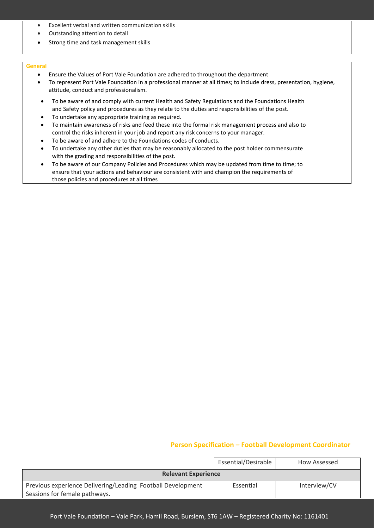- Excellent verbal and written communication skills
- Outstanding attention to detail
- Strong time and task management skills

#### **General**

- Ensure the Values of Port Vale Foundation are adhered to throughout the department
- To represent Port Vale Foundation in a professional manner at all times; to include dress, presentation, hygiene, attitude, conduct and professionalism.
- To be aware of and comply with current Health and Safety Regulations and the Foundations Health and Safety policy and procedures as they relate to the duties and responsibilities of the post.
- To undertake any appropriate training as required.
- To maintain awareness of risks and feed these into the formal risk management process and also to control the risks inherent in your job and report any risk concerns to your manager.
- To be aware of and adhere to the Foundations codes of conducts.
- To undertake any other duties that may be reasonably allocated to the post holder commensurate with the grading and responsibilities of the post.
- To be aware of our Company Policies and Procedures which may be updated from time to time; to ensure that your actions and behaviour are consistent with and champion the requirements of those policies and procedures at all times

## **Person Specification – Football Development Coordinator**

|                                                             | Essential/Desirable | How Assessed |  |  |
|-------------------------------------------------------------|---------------------|--------------|--|--|
| <b>Relevant Experience</b>                                  |                     |              |  |  |
| Previous experience Delivering/Leading Football Development | Essential           | Interview/CV |  |  |
| Sessions for female pathways.                               |                     |              |  |  |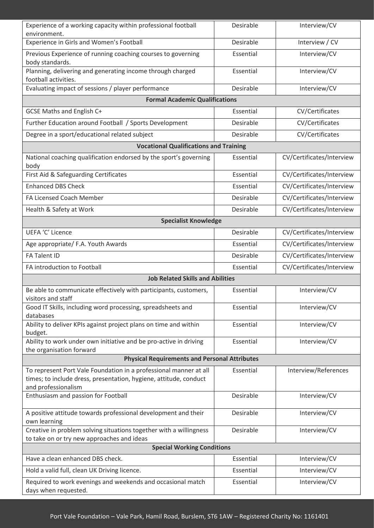| Experience of a working capacity within professional football                                                    | Desirable | Interview/CV              |  |  |
|------------------------------------------------------------------------------------------------------------------|-----------|---------------------------|--|--|
| environment.<br>Experience in Girls and Women's Football                                                         | Desirable | Interview / CV            |  |  |
|                                                                                                                  |           |                           |  |  |
| Previous Experience of running coaching courses to governing<br>body standards.                                  | Essential | Interview/CV              |  |  |
| Planning, delivering and generating income through charged                                                       | Essential | Interview/CV              |  |  |
| football activities.                                                                                             |           |                           |  |  |
| Evaluating impact of sessions / player performance                                                               | Desirable | Interview/CV              |  |  |
| <b>Formal Academic Qualifications</b>                                                                            |           |                           |  |  |
| <b>GCSE Maths and English C+</b>                                                                                 | Essential | CV/Certificates           |  |  |
| Further Education around Football / Sports Development                                                           | Desirable | CV/Certificates           |  |  |
| Degree in a sport/educational related subject                                                                    | Desirable | CV/Certificates           |  |  |
| <b>Vocational Qualifications and Training</b>                                                                    |           |                           |  |  |
| National coaching qualification endorsed by the sport's governing<br>body                                        | Essential | CV/Certificates/Interview |  |  |
| First Aid & Safeguarding Certificates                                                                            | Essential | CV/Certificates/Interview |  |  |
| <b>Enhanced DBS Check</b>                                                                                        | Essential | CV/Certificates/Interview |  |  |
| <b>FA Licensed Coach Member</b>                                                                                  | Desirable | CV/Certificates/Interview |  |  |
| Health & Safety at Work                                                                                          | Desirable | CV/Certificates/Interview |  |  |
| <b>Specialist Knowledge</b>                                                                                      |           |                           |  |  |
| <b>UEFA 'C' Licence</b>                                                                                          | Desirable | CV/Certificates/Interview |  |  |
| Age appropriate/ F.A. Youth Awards                                                                               | Essential | CV/Certificates/Interview |  |  |
| <b>FA Talent ID</b>                                                                                              | Desirable | CV/Certificates/Interview |  |  |
| FA introduction to Football                                                                                      | Essential | CV/Certificates/Interview |  |  |
| <b>Job Related Skills and Abilities</b>                                                                          |           |                           |  |  |
| Be able to communicate effectively with participants, customers,                                                 | Essential | Interview/CV              |  |  |
| visitors and staff<br>Good IT Skills, including word processing, spreadsheets and                                | Essential | Interview/CV              |  |  |
| databases                                                                                                        |           |                           |  |  |
| Ability to deliver KPIs against project plans on time and within<br>budget.                                      | Essential | Interview/CV              |  |  |
| Ability to work under own initiative and be pro-active in driving                                                | Essential | Interview/CV              |  |  |
| the organisation forward<br><b>Physical Requirements and Personal Attributes</b>                                 |           |                           |  |  |
| To represent Port Vale Foundation in a professional manner at all                                                | Essential | Interview/References      |  |  |
| times; to include dress, presentation, hygiene, attitude, conduct                                                |           |                           |  |  |
| and professionalism                                                                                              |           |                           |  |  |
| Enthusiasm and passion for Football                                                                              | Desirable | Interview/CV              |  |  |
| A positive attitude towards professional development and their                                                   | Desirable | Interview/CV              |  |  |
| own learning                                                                                                     |           |                           |  |  |
| Creative in problem solving situations together with a willingness<br>to take on or try new approaches and ideas | Desirable | Interview/CV              |  |  |
| <b>Special Working Conditions</b>                                                                                |           |                           |  |  |
| Have a clean enhanced DBS check.                                                                                 | Essential | Interview/CV              |  |  |
| Hold a valid full, clean UK Driving licence.                                                                     | Essential | Interview/CV              |  |  |
| Required to work evenings and weekends and occasional match                                                      | Essential | Interview/CV              |  |  |
| days when requested.                                                                                             |           |                           |  |  |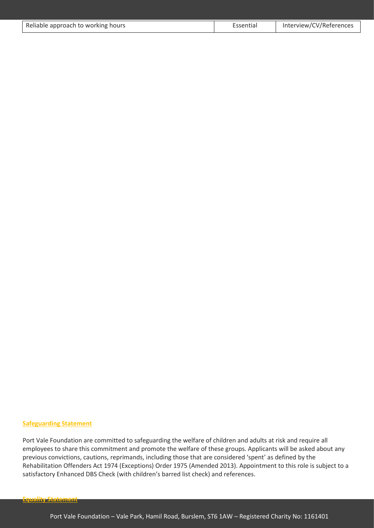| Reliable approach to working hours | Essential | Interview/CV/References |
|------------------------------------|-----------|-------------------------|

### **Safeguarding Statement**

Port Vale Foundation are committed to safeguarding the welfare of children and adults at risk and require all employees to share this commitment and promote the welfare of these groups. Applicants will be asked about any previous convictions, cautions, reprimands, including those that are considered 'spent' as defined by the Rehabilitation Offenders Act 1974 (Exceptions) Order 1975 (Amended 2013). Appointment to this role is subject to a satisfactory Enhanced DBS Check (with children's barred list check) and references.

**Equality Statement**